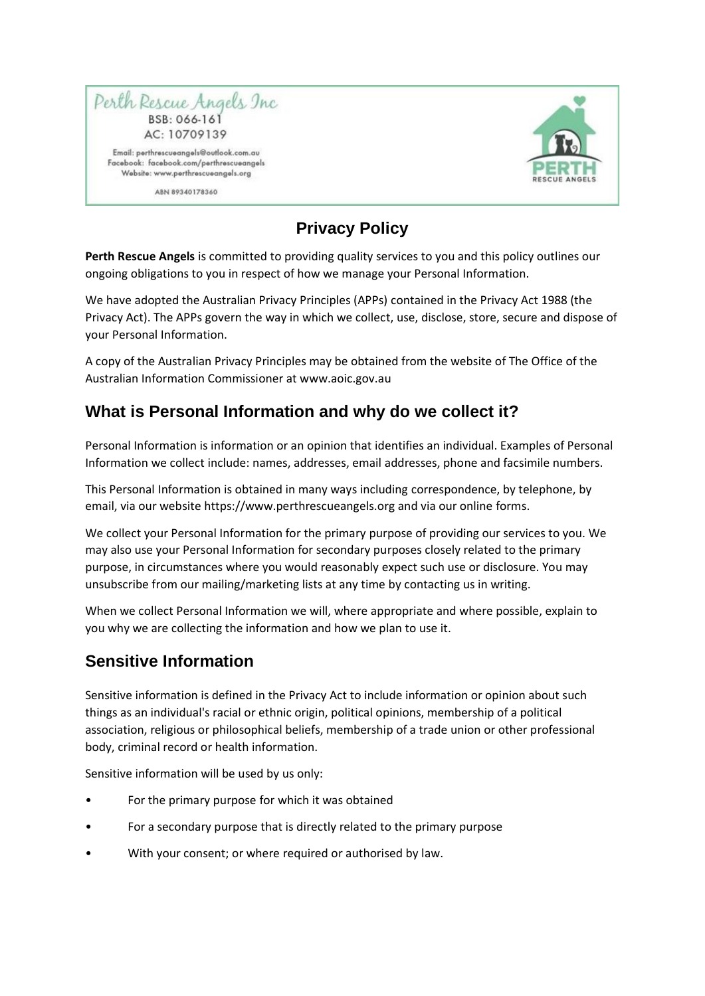

ABN 89340178360



# **Privacy Policy**

**Perth Rescue Angels** is committed to providing quality services to you and this policy outlines our ongoing obligations to you in respect of how we manage your Personal Information.

We have adopted the Australian Privacy Principles (APPs) contained in the Privacy Act 1988 (the Privacy Act). The APPs govern the way in which we collect, use, disclose, store, secure and dispose of your Personal Information.

A copy of the Australian Privacy Principles may be obtained from the website of The Office of the Australian Information Commissioner at www.aoic.gov.au

#### **What is Personal Information and why do we collect it?**

Personal Information is information or an opinion that identifies an individual. Examples of Personal Information we collect include: names, addresses, email addresses, phone and facsimile numbers.

This Personal Information is obtained in many ways including correspondence, by telephone, by email, via our website https://www.perthrescueangels.org and via our online forms.

We collect your Personal Information for the primary purpose of providing our services to you. We may also use your Personal Information for secondary purposes closely related to the primary purpose, in circumstances where you would reasonably expect such use or disclosure. You may unsubscribe from our mailing/marketing lists at any time by contacting us in writing.

When we collect Personal Information we will, where appropriate and where possible, explain to you why we are collecting the information and how we plan to use it.

### **Sensitive Information**

Sensitive information is defined in the Privacy Act to include information or opinion about such things as an individual's racial or ethnic origin, political opinions, membership of a political association, religious or philosophical beliefs, membership of a trade union or other professional body, criminal record or health information.

Sensitive information will be used by us only:

- For the primary purpose for which it was obtained
- For a secondary purpose that is directly related to the primary purpose
- With your consent; or where required or authorised by law.